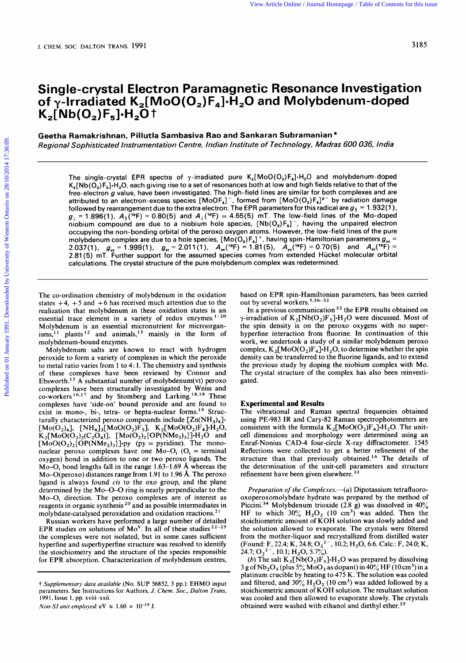# **Single-crystal Electron Paramagnetic Resonance Investigation of y-Irradiated K,[ MoO(0,) F,].H,O and Molybdenum-doped**   $K_2[Nb(O_2)F_5]H_2O$ <sup>†</sup> **Single-crystal Electron Paramagnetic Resonance Investigation**<br>of γ-Irradiated K<sub>2</sub>[MoO(O<sub>2</sub>)F<sub>4</sub>]·H<sub>2</sub>O and Molybdenum-doped<br>K<sub>2</sub>[Nb(O<sub>2</sub>)F<sub>5</sub>]·H<sub>2</sub>O †<br>Geetha Ramakrishnan, Pillutla Sambasiva Rao and Sankaran Subramanian

**Geetha Ramakrishnan, Pillutla Sambasiva Rao and Sankaran Subramanian** 

The single-crystal EPR spectra of  $\gamma$ -irradiated pure  $K_2[Moo(O_2)F_4] \cdot H_2O$  and molybdenum-doped  $K_2[Nb(O_2)F_5]$ -H<sub>2</sub>O, each giving rise to a set of resonances both at low and high fields relative to that of the free-electron *g* value, have been investigated. The high-field lines are similar for both complexes and are attributed to an electron-excess species  $[MoOF_4]^T$ , formed from  $[MoO(O_2)F_4]^T$  by radiation damage Sopristicated instrumentation Centre, indian institute of reciniology, indias 600 036, find<br>The single-crystal EPR spectra of  $\gamma$ -irradiated pure  $K_2[Moo(O_2)F_4] \cdot H_2O$  and molybdenum-doped<br> $K_2[Nb(O_2)F_5] \cdot H_2O$ , each giv followed by rearrangement due to the extra electron. The EPR parameters for this radical are  $g_{\parallel} = 1.932(1)$ ,  $g_{\perp}$  = 1.896(1),  $A_{\parallel}$ (<sup>19</sup>F) = 0.80(5) and  $A_{\perp}$ (<sup>19</sup>F) = 4.65(5) mT. The low-field lines of the Mo-doped niobium compound are due to a niobium hole species,  $[Nb(O<sub>2</sub>)F<sub>5</sub>]<sup>-</sup>$ , having the unpaired electron occupying the non-bonding orbital **of** the peroxo oxygen atoms. However, the low-field lines of the pure molybdenum complex are due to a hole species, [Mo(O<sub>2</sub>)F<sub>4</sub>]  $^+$ , having spin-Hamiltonian parameters  $g_{xx}$  = 2.037(1),  $g_w = 1.999(1)$ ,  $g_u = 2.011(1)$ ,  $A_x({}^{19}F) = 1.81(5)$ ,  $A_y({}^{19}F) = 0.70(5)$  and  $A_x({}^{19}F) = 0.70(5)$ 2.81(5) mT. Further support for the assumed species comes from extended Huckel molecular orbital calculations. The crystal structure of the pure molybdenum complex was redetermined.

The co-ordination chemistry of molybdenum in the oxidation states  $+4$ ,  $+5$  and  $+6$  has received much attention due to the realization that molybdenum in these oxidation states is an essential trace element in a variety of redox enzymes. $1-20$ Molybdenum is an essential micronutrient for microorgan- $\sinh^{-1}$  plants<sup>12</sup> and animals,<sup>13</sup> mainly in the form of molybdenum- bound enzymes.

Molybdenum salts are known to react with hydrogen peroxide to form a variety of complexes in which the peroxide to metal ratio varies from 1 to 4: 1. The chemistry and synthesis of these complexes have been reviewed by Connor and Ebsworth.<sup>15</sup> A substantial number of molybdenum(v1) peroxo complexes have been structurally investigated by Weiss and co-workers<sup>16,17</sup> and by Stomberg and Larking.<sup>18,19</sup> These complexes have 'side-on' bound peroxide and are found to exist in mono-, bi-, tetra- or hepta-nuclear forms.<sup>19</sup> Structurally characterized peroxo compounds include  $[Zn(NH<sub>3</sub>)<sub>4</sub>]$ - $[M_0(O_2)_4]$ ,  $[NH_4]_3[M_0O(O_2)F_5]$ ,  $K_2[M_0O(O_2)F_4]H_2O$ ,  $K_2[MoO(O_2)_2(C_2O_4)]$ ,  $[Mo(O_2)_2\{OP(NMe_2)_3\}]\cdot H_2O$  and  $[M_0O(O_2)_2[OP(NMe_2)_3]$ -py (py = pyridine). The mononuclear peroxo complexes have one  $Mo-O<sub>t</sub>$  ( $O<sub>t</sub>$  = terminal oxygen) bond in addition to one or two peroxo ligands. The **Mo-0,** bond lengths fall in the range 1.63-1.69 A whereas the Mo-O(peroxo) distances range from 1.91 to 1.96 A. The peroxo ligand is always found **cis** to the 0x0 group, and the plane determined by the Mo-0-0 ring is nearly perpendicular to the Mo-0, direction. The peroxo complexes are of interest as reagents in organic synthesis *2o* and as possible intermediates in molybdate-catalysed peroxidation and oxidation reactions.<sup>2</sup>

Russian workers have performed a large number of detailed EPR studies on solutions of Mo<sup>V</sup>. In all of these studies  $2^{2-25}$ the complexes were not isolated, but in some cases sufficient hyperfine and superhyperfine structure was resolved to identify the stoichiometry and the structure of the species responsible

based on EPR spin-Hamiltonian parameters, has been carried out by several workers.<sup>5,26-32</sup>

In a previous communication **33** the EPR results obtained on  $\gamma$ -irradiation of  $K_2[Nb(O_2)F_5] \cdot H_2O$  were discussed. Most of the spin density is on the peroxo oxygens with no superhyperfine interaction from fluorine. In continuation of this work, we undertook a study of a similar molybdenum peroxo complex,  $K_2[MoO(O_2)F_4]H_2O$ , to determine whether the spin density can be transferred to the fluorine ligands, and to extend the previous study by doping the niobium complex with Mo. The crystal structure of the complex has also been reinvestigated.

### **Experimental and Results**

The vibrational and Raman spectral frequencies obtained using PE-983 IR and Cary-82 Raman spectrophotometers are consistent with the formula  $K_2[M_0O(O_2)F_4] \cdot H_2O$ . The unitcell dimensions and morphology were determined using an Enraf-Nonius **CAD-4** four-circle X-ray diffractometer. 1545 Reflections were collected to get a better refinement of the structure than that previously obtained.<sup>16</sup> The details of the determination of the unit-cell parameters and structure refinement have been given elsewhere.<sup>33</sup>

For EPR absorption. Characterization of molybdenum centres,<br>
The complex of Mo<sup>v</sup>. In all of these studies <sup>22–25</sup><br>
Russian workers have performed a large number of detailed<br>
EPR studies on solutions of Mo<sup>v</sup>. In all of t *Preparation of the Complexes.* (a) Dipotassium tetrafluorooxoperoxomolybdate hydrate was prepared by the method of Piccini.<sup>34</sup> Molybdenum trioxide (2.8 g) was dissolved in  $40\%$ HF to which  $30\%$  H<sub>2</sub>O<sub>2</sub> (10 cm<sup>3</sup>) was added. Then the stoichiometric amount of KOH solution was slowly added and the solution allowed to evaporate. The crystals were filtered from the mother-liquor and recrystallized from distilled water (Found: F, 22.4; K, 24.8;  $O_2^2$ <sup>-</sup>, 10.2; H<sub>2</sub>O, 6.6. Calc.: F, 24.0; K, **24.7;**  $O_2^2$ <sup>-</sup>, 10.1;  $H_2O$ , 5.7%).

**101 TETR absorption.** Characterization of molyodentin centres,<br>  $\frac{3}{2}$  and  $\frac{3}{2}$  and  $\frac{3}{2}$  as dopant) in 40% HF (10 cm<sup>3</sup>) in a<br>
parameters. See Instructions for Authors, *J. Chem. Soc., Dalton Trans*,<br>
1991, (b) The salt  $K_2[Nb(O_2)F_5]H_2O$  was prepared by dissolving 3 g of  $Nb<sub>2</sub>O<sub>5</sub>$  (plus 5%  $MoO<sub>3</sub>$  as dopant) in 40% HF (10 cm<sup>3</sup>) in a platinum crucible by heating to **475** K. The solution was cooled and filtered, and  $30\%$   $H_2O_2$  (10 cm<sup>3</sup>) was added followed by a stoichiometric amount of KOH solution. The resultant solution was cooled and then allowed to evaporate slowly. The crystals obtained were washed with ethanol and diethyl ether.<sup>3</sup>

**<sup>1-</sup>** *Supplementary data available* (No. SUP *56852,* 3 pp.): EHMO input parameters. See Instructions for Authors, J. *Chem. Soc., Dalton Trans,*  199 **1,** Issue **1,** pp. xviii-xxii.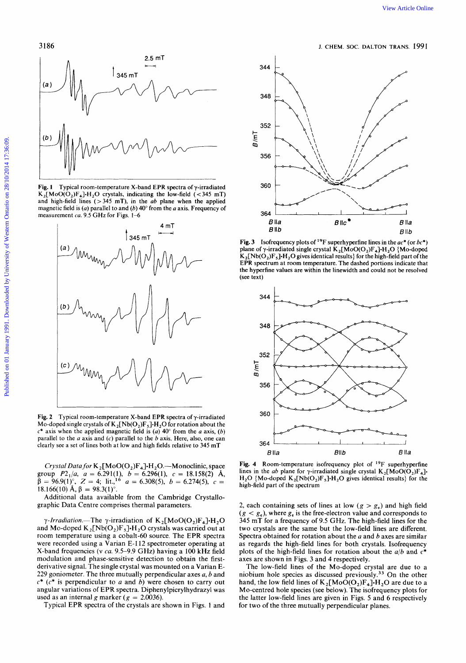

**Fig. 1** Typical room-temperature X-band EPR spectra of  $\gamma$ -irradiated  $K_2[MoO(O_2)F_4]H_2O$  crystals, indicating the low-field (<345 mT) measurement *ca.* 9.5 GHz for Figs. **1-6** 



**Fig. 2** Typical room-temperature X-band EPR spectra of y-irradiated Mo-doped single crystals of  $K_2[Nb(O_2)F_5]H_2O$  for rotation about the  $c^*$  axis when the applied magnetic field is (a)  $40^\circ$  from the a axis, (b) parallel to the a axis and **(c)** parallel to the *b* axis. Here, also, one can

*Crystal Data for* K2 **[MoO(02)F4]-H20.-Monoclinic,** space group  $P2_1/a$ ,  $a = 6.291(1)$ ,  $b = 6.296(1)$ ,  $c = 18.158(2)$  Å,  $\beta = 96.9(1)^\circ$ ,  $Z = 4$ ; lit.,<sup>16</sup>  $a = 6.308(5)$ ,  $b = 6.274(5)$ ,  $c =$ 18.166(10) Å,  $\beta = 98.3(1)$ °.

Additional data available from the Cambridge Crystallographic Data Centre comprises thermal parameters.

 $\gamma$ -Irradiation.-The  $\gamma$ -irradiation of K<sub>2</sub>[MoO(O<sub>2</sub>)F<sub>4</sub>]·H<sub>2</sub>O and Mo-doped  $K_2[Nb(O_2)F_5]H_2O$  crystals was carried out at room temperature using a cobalt-60 source. The EPR spectra were recorded using a Varian E-112 spectrometer operating at X-band frequencies **(v** ca. 9.5-9.9 **GHz)** having a 100 **kHz** field modulation and phase-sensitive detection to obtain the firstderivative signal. The single crystal was mounted on a Varian **E-***229* goniometer. The three mutually perpendicular axes *a, b* and  $c^*$  ( $c^*$  is perpendicular to *a* and *b*) were chosen to carry out angular variations of **EPR** spectra. Diphenylpicrylhydrazyl was used as an internal *g* marker ( $g = 2.0036$ ).

Typical **EPR** spectra of the crystals are shown in Figs. 1 and



Fig. 3 Isofrequency plots of 19F superhyperfine lines in the *ac\** (or *bc\*)*  plane of y-irradiated single crystal **K,[MoO(O,)F,]=H,O** (Mo-doped  $K_2[Nb(O_2)F_5]H_2O$  gives identical results) for the high-field part of the EPR spectrum at room temperature. The dashed portions indicate that the hyperfine values are within the linewidth and could not be resolved (see text)



Fig. **4** Room-temperature isofrequency plot of **19F** superhyperfine lines in the *ab* plane for y-irradiated single crystal  $K_2[M_0O(O_2)F_4]$ .  $H_2O$  {Mo-doped  $K_2[Nb(O_2)F_5]H_2O$  gives identical results} for the high-field part of the spectrum

2, each containing sets of lines at low  $(g > g_e)$  and high field  $(g < g_e)$ , where  $g_e$  is the free-electron value and corresponds to 345 mT for a frequency of 9.5 **GHz.** The high-field lines for the two crystals are the same but the low-field lines are different. Spectra obtained for rotation about the a and *b* axes are similar as regards the high-field lines for both crystals. Isofrequency plots of the high-field lines for rotation about the *a/b* **and** *c\**  axes are shown in Figs. 3 and **4** respectively.

The low-field lines of the Mo-doped crystal are due to a niobium hole species as discussed previously. $33$  On the other hand, the low field lines of  $K_2[M_0O(O_2)F_4] \cdot H_2O$  are due to a Mo-centred hole species (see below). The isofrequency plots for the latter low-field lines are given in Figs. 5 and *6* respectively for two of the three mutually perpendicular planes.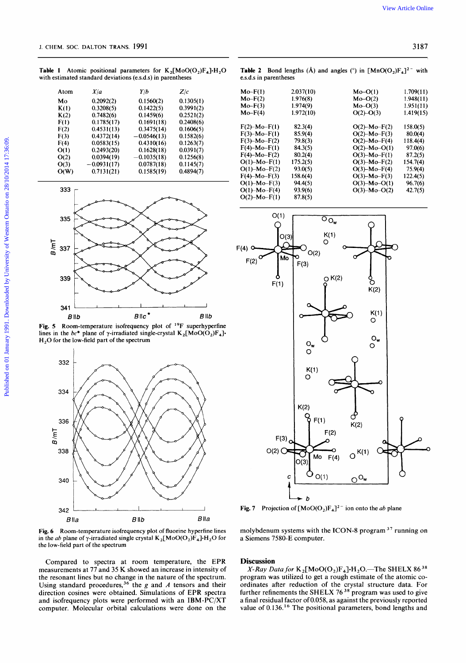**Table 1** Atomic positional parameters for  $K_2[MoO(O_2)F_4]H_2O$  **Table 2** Bond lengths (Å) and angles (°) in  $[Mno(O_2)F_4]^2$ <sup>-</sup> with with estimated standard deviations (e.s.d.s) in parentheses essential parametheses with estimated standard deviations (e.s.d.s) in parentheses

| Atom | X/a           | Y/b           | Z/c       |
|------|---------------|---------------|-----------|
| M٥   | 0.2092(2)     | 0.1560(2)     | 0.1305(1) |
| K(1) | 0.3208(5)     | 0.1422(5)     | 0.3991(2) |
| K(2) | 0.7482(6)     | 0.1459(6)     | 0.2521(2) |
| F(1) | 0.1785(17)    | 0.1691(18)    | 0.2408(6) |
| F(2) | 0.4531(13)    | 0.3475(14)    | 0.1606(5) |
| F(3) | 0.4372(14)    | $-0.0546(13)$ | 0.1582(6) |
| F(4) | 0.0583(15)    | 0.4310(16)    | 0.1263(7) |
| O(1) | 0.2493(20)    | 0.1628(18)    | 0.0391(7) |
| O(2) | 0.0394(19)    | $-0.1035(18)$ | 0.1256(8) |
| O(3) | $-0.0931(17)$ | 0.0787(18)    | 0.1145(7) |
| O(W) | 0.7131(21)    | 0.1585(19)    | 0.4894(7) |



**Fig. 5** Room-temperature isofrequency plot of <sup>19</sup>F superhyperfine lines in the  $bc^*$  plane of  $\gamma$ -irradiated single-crystal  $K_2[MoO(O_2)F_4]$ **H20** for the low-field part of the spectrum



**Fig. 6** Room-temperature isofrequency plot of fluorine hyperfine lines in the *ab* plane of  $\gamma$ -irradiated single crystal  $K_2[Moo(O_2)F_4] \cdot H_2O$  for the low-field part of the spectrum

Compared to spectra at room temperature, the EPR measurements at 77 and 35 K showed an increase in intensity of the resonant lines but no change in the nature of the spectrum. Using standard procedures,<sup>36</sup> the *g* and *A* tensors and their direction cosines were obtained. Simulations of EPR spectra and isofrequency plots were performed with an IBM-PC/XT computer. Molecular orbital calculations were done on the

| parameters for $K_2[M_0O(O_2)F_4] \cdot H_2O$<br>viations (e.s.d.s) in parentheses                                                                          | <b>Table 2</b> Bond lengths (Å) and angles (°) in $[MnO(O_2)F_4]^2$ <sup>-</sup> with<br>e.s.d.s in parentheses |                                                 |  |  |  |
|-------------------------------------------------------------------------------------------------------------------------------------------------------------|-----------------------------------------------------------------------------------------------------------------|-------------------------------------------------|--|--|--|
| Y/b                                                                                                                                                         | $Mo-F(1)$<br>2.037(10)                                                                                          | 1.709(11)<br>$Mo-O(1)$                          |  |  |  |
| $0.1560(2)$ $0.1305(1)$                                                                                                                                     | .976(8)<br>$Mo-F(2)$                                                                                            | $Mo-O(2)$<br>1.948(11)                          |  |  |  |
| 0.3991(2)<br>0.1422(5)                                                                                                                                      | $Mo-F(3)$<br>Mo-F(4)<br>1.974(9)<br>1.972(10)                                                                   | $Mo-O(3)$<br>1.951(11                           |  |  |  |
|                                                                                                                                                             |                                                                                                                 | $O(2)-O(3)$<br>1.419(15)                        |  |  |  |
| $\begin{array}{ccc} 0.1459(6) & 0.2521(2) \ 0.1691(18) & 0.2408(6) \ 0.3475(14) & 0.1606(5) \ -0.0546(13) & 0.1582(6) \ 0.4310(16) & 0.1263(7) \end{array}$ |                                                                                                                 |                                                 |  |  |  |
|                                                                                                                                                             | $F(2)$ -Mo- $F(1)$<br>82.3(4)                                                                                   | $O(2)$ -Mo-F(2) 158.0(5)                        |  |  |  |
|                                                                                                                                                             | $F(3)$ -Mo-F(1)<br>85.9(4)                                                                                      | $O(2)$ -Mo-F(3) 80.0(4)                         |  |  |  |
|                                                                                                                                                             | $F(3)$ -Mo-F(2)<br>79.8(3)                                                                                      | $O(2)-Mo-F(4)$ 118.4(4)                         |  |  |  |
| $0.1628(18)$ $0.0391(7)$<br>-0.1035(18) 0.1256(8)                                                                                                           | $F(4)-Mo-F(1)$<br>84.3(5)<br>$F(4)-Mo-F(2)$                                                                     | $O(2)$ -Mo-O(1) 97.0(6)<br>O(3)-Mo-F(1) 87.2(5) |  |  |  |
|                                                                                                                                                             | 80.2(4)                                                                                                         | $O(3)$ -Mo-F(2) 154.7(4)                        |  |  |  |
| $0.0787(18)$ $0.1145(7)$                                                                                                                                    | $O(1)$ -Mo-F(1)<br>(C)2.2<br>$O(1)$ -Mo-F(2)<br>93.0(5)                                                         |                                                 |  |  |  |
| $0.1585(19)$ $0.4894(7)$                                                                                                                                    | $F(4)-Mo-F(3)$ 158.6(4)                                                                                         | O(3)-Mo-F(4) 75.9(4)<br>O(3)-Mo-F(3) 122.4(5)   |  |  |  |
|                                                                                                                                                             | $O(1)$ -Mo-F(3)<br>94.4(5)                                                                                      | $O(3)$ -Mo-O(1) 96.7(6)                         |  |  |  |
|                                                                                                                                                             | $O(1)$ -Mo-F(4)<br>93.9(6)                                                                                      | $O(3)$ -Mo-O(2) 42.7(5)                         |  |  |  |
|                                                                                                                                                             | $O(2)$ -Mo-F(1) 87.8(5)                                                                                         |                                                 |  |  |  |
|                                                                                                                                                             |                                                                                                                 |                                                 |  |  |  |



**Fig. 7** Projection of  $[MoO(O_2)F_4]^2$  ion onto the ab plane

molybdenum systems with the ICON-8 program **37** running on a Siemens 7580-E computer.

# **Discussion**

 $X-Ray$  Data for  $K_2[Moo(O_2)F_4] \cdot H_2O$ . The SHELX 86<sup>38</sup> program was utilized to get a rough estimate of the atomic coordinates after reduction of the crystal structure data. For further refinements the SHELX 76 **38** program was used to give a final residual factor of 0.058, as against the previously reported value of 0.136.<sup>16</sup> The positional parameters, bond lengths and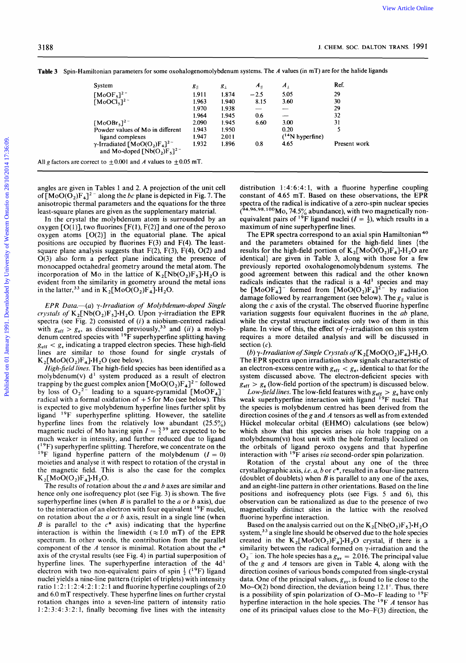| J. CHEM. SOC. DALTON TRANS. 1991<br>System<br>$[MoOF5]2$ <sup>-</sup><br>[MoOCl <sub>5</sub> ] <sup>2</sup><br>$\frac{5.05}{3.60}$<br>1.874<br>$-2.5$<br>-1.911-<br>8.15<br>1.940<br>- 1.963 -<br>1.938<br>1.970<br>1.964<br>1.945<br>300<br>$[MoOBrs]2$ -<br>Powder values of Mo in different<br>6.60<br>2.090<br>1.943 1.950<br>0.9 |                                                                      |  |  |  |  |
|---------------------------------------------------------------------------------------------------------------------------------------------------------------------------------------------------------------------------------------------------------------------------------------------------------------------------------------|----------------------------------------------------------------------|--|--|--|--|
| Table 3 Spin-Hamiltonian parameters for some oxohalogenomolybdenum systems. The A values (in mT) are for the halide ligands                                                                                                                                                                                                           |                                                                      |  |  |  |  |
|                                                                                                                                                                                                                                                                                                                                       |                                                                      |  |  |  |  |
| ligand complexes<br>ligand complexes<br>$\gamma$ -Irradiated [MoO(O <sub>2</sub> )F <sub>4</sub> ] <sup>2-</sup><br>2.1.932<br>and Mo-doped [Nb(O <sub>2</sub> )F <sub>5</sub> ] <sup>2-</sup><br>All g factors are correct to $\pm$ 0.001 and <i>A</i> values to $\pm$ 0.05 mT.                                                      |                                                                      |  |  |  |  |
|                                                                                                                                                                                                                                                                                                                                       | 1.947 2.011<br>1.932 1.896<br>$(14N$ hyperfine)<br>4.65 Present work |  |  |  |  |

angles are given in Tables 1 and **2. A** projection of the unit cell anisotropic thermal parameters and the equations for the three least-square planes are given as the supplementary material.

In the crystal the molybdenum atom is surrounded by an oxygen  $[O(1)]$ , two fluorines  $[F(1), F(2)]$  and one of the peroxo oxygen atoms  $[O(2)]$  in the equatorial plane. The apical positions are occupied by fluorines  $F(3)$  and  $F(4)$ . The leastsquare plane analysis suggests that  $F(2)$ ,  $F(3)$ ,  $F(4)$ ,  $O(2)$  and O(3) also form a perfect plane indicating the presence of monocapped octahedral geometry around the metal atom. The incorporation of Mo in the lattice of  $K_2[Nb(O_2)F_5]+H_2O$  is evident from the similarity in geometry around the metal ions in the latter,<sup>33</sup> and in

crystals of  $K_2[Nb(O_2)F_5] \cdot H_2O$ . Upon  $\gamma$ -irradiation the EPR  $EPR$  Data.— $(a)$   $\gamma$ -Irradiation of Molybdenum-doped Single spectra (see Fig. 2) consisted of  $(i)$  a niobium-centred radical with  $g_{\text{eff}} > g_{\text{e}}$ , as discussed previously,<sup>33</sup> and (ii) a molybdenum centred species with <sup>19</sup>F superhyperfine splitting having  $g<sub>eff</sub> < g<sub>e</sub>$  indicating a trapped electron species. These high-field lines are similar to those found for single crystals of  $K_2[M_0O(O_2)F_4] \cdot H_2O$  (see below).

*High-field* lines. The high-field species has been identified as a molybdenum(v)  $d<sup>1</sup>$  system produced as a result of electron trapping by the guest complex anion  $[MoO(O_2)F_4]^2$ <sup>-</sup> followed by loss of  $O_2^2$ <sup>-</sup> leading to a square-pyramidal [MoOF<sub>4</sub>] radical with a formal oxidation of **+5** for Mo (see below). This is expected to give molybdenum hyperfine lines further split by ligand  $^{19}$ F superhyperfine splitting. However, the satellite hyperfine lines from the relatively low abundant (25.5%) magnetic nuclei of Mo having spin  $I = \frac{5}{2}^{39}$  are expected to be much weaker in intensity, and further reduced due to ligand  $(9F)$  superhyperfine splitting. Therefore, we concentrate on the <sup>19</sup>F ligand hyperfine pattern of the molybdenum  $(I = 0)$ moieties and analyse it with respect to rotation of the crystal in the magnetic field. This is also the case for the complex  $K_2[MoO(O_2)F_4] \cdot H_2O.$ 

The results of rotation about the *a* and *b* axes are similar and hence only one isofrequency plot (see Fig. 3) is shown. The five superhyperfine lines (when *B* is parallel to the *a* or b axis), due to the interaction of an electron with four equivalent <sup>19</sup>F nuclei, on rotation about the *a* or *b* axis, result in a single line (when *B* is parallel to the  $c^*$  axis) indicating that the hyperfine interaction is within the linewidth  $(\approx 1.0 \text{ mT})$  of the EPR spectrum. In other words, the contribution from the parallel component of the **A** tensor is minimal. Rotation about the *c\**  axis of the crystal results (see Fig. 4) in partial superposition of hyperfine lines. The superhyperfine interaction of the 4d<sup>1</sup> electron with two non-equivalent pairs of spin  $\frac{1}{2}$  (<sup>19</sup>F) ligand Electron with two non-equivalent pairs of spin a singular method of the gand A tensors are given in Table 1.2. The principal value of the A tensor is within the linewidth ( $\approx$  1.0 mT) of the EPR system,<sup>33</sup> a single line nuclei yields a nine-line pattern (triplet of triplets) with intensity ratio 1 : 2 : 1 : 2 : **4** : 2 : 1 : 2 : **1** and fluorine hyperfine couplings of 2.0 and 6.0 mT respectively. These hyperfine lines on further crystal rotation changes into a seven-line pattern of intensity ratio <sup>1</sup>: 2 : 3 : 4: 3 : 2 : **1,** finally becoming five lines with the intensity

 $\gamma$ -Irradiated  $[Mo(O_2)F_4]^2$ <br>and Mo-doped  $[Nb(O_2)F_5]^2$ <br>All g factors are correct to  $\pm 0.001$  and *A* values to  $\pm 0.05$  mT.<br>angles are given in Tables 1 and 2. A projection of the unit cell<br>of  $[MoO(O_2)F_4]^2$  along th distribution  $1:4:6:4:1$ , with a fluorine hyperfine coupling constant of 4.65 mT. Based on these observations, the EPR spectra of the radical is indicative of a zero-spin nuclear species  $(94.96.98.100)$  Mo, 74.5% abundance), with two magnetically non-equivalent pairs of <sup>19</sup>F ligand nuclei  $(I = \frac{1}{2})$ , which results in a maximum of nine superhyperfine lines.

3) also torm a perfect plane indicating the presence of dentical) are given in Table 3, along with those for a tew<br>orcoporation of Mo in the lattice of  $X_2[Nb(O_2)F_5]H_2O$  is good agreement between this radical and the ot Examples are in the price of identical) are given in Table 3, along with those for a few ral geometry around the metal atom. The previously reported oxohalogenomolybdenum systems. The in the lattice of  $K_2[Nb(O_2)F_3]H_2O$ *z* in the parameters obtained for the high-field lines {the F(4). The least-<br>and the parameters obtained for the high-field lines {the<br>h, F(4), O(2) and results for the high-field portion of  $K_2$ [MoO(O<sub>2</sub>)F<sub>4</sub>]-H<sub>2</sub>O ar The **EPR** spectra correspond to an axial spin Hamiltonian **40**  and the parameters obtained for the high-field lines (the results for the high-field portion of  $K_2[M_0O(O_2)F_4] \cdot H_2O$  are identical} are given in Table 3, along with those for a few previously reported oxohalogenomolybdenum systems. The good agreement between this radical and the other known radicals indicates that the radical is a 4d' species and may be  $[MoOF_4]$ <sup>-</sup> formed from  $[MoO(O_2)F_4]$ <sup>2-</sup> by radiation damage followed by rearrangement (see below). The  $g_{\parallel}$  value is along the *c* axis of the crystal. The observed fluorine hyperfine variation suggests four equivalent fluorines in the ab plane, while the crystal structure indicates only two of them in this plane. In view of this, the effect of  $\gamma$ -irradiation on this system requires a more detailed analysis and will be discussed in section *(c).* 

(b)  $γ$ -Irradiation of Single Crystals of  $K_2[M_0O(O_2)F_4]·H_2O$ . The EPR spectra upon irradiation show signals characteristic of an electron-excess centre with  $g_{\text{eff}} < g_{\text{e}}$ , identical to that for the system discussed above. The electron-deficient species with  $g_{\text{eff}} > g_{\text{e}}$  (low-field portion of the spectrum) is discussed below.

Low-field lines. The low-field features with  $g_{\text{eff}} > g_e$  have only weak superhyperfine interaction with ligand <sup>19</sup>F nuclei. That the species is molybdenum centred has been derived from the direction cosines of the *g* and *A* tensors as well **as** from extended Hiickel molecular orbital **(EHMO)** calculations (see below) which show that this species arises *via* hole trapping on a molybdenum(v1) host unit with the hole formally localized on the orbitals of ligand peroxo oxygens and that hyperfine interaction with  $^{19}$ F arises via second-order spin polarization.

Rotation of the crystal about any one of the **three**  crystallographic axis, i.e. a, *b* or *c\*,* resulted in a four-line pattern (doublet of doublets) when *B* is parallel to any one of the axes, and an eight-line pattern in other orientations. Based on the line positions and isofrequency plots (see Figs. 5 and 6), this observation can be rationalized as due to the presence of two magnetically distinct sites in the lattice with the resolved fluorine hyperfine interaction.

Based on the analysis carried out on the  $K_2[Nb(O_2)F_5] \cdot H_2O$ system,  $33$  a single line should be observed due to the hole species created in the  $K_2[MoO(O_2)F_4] \cdot H_2O$  crystal, if there is a similarity between the radical formed on y-irradiation and the  $O_2$ <sup>-</sup> ion. The hole species has a  $g_{av} = 2.016$ . The principal value of the g and *A* tensors are given in Table **4,** along with the direction cosines of various bonds computed from single-crystal data. One of the principal values,  $g_{yy}$ , is found to lie close to the Mo-O(2) bond direction, the deviation being  $12.1^{\circ}$ . Thus, there is a possibility of spin polarization of O-Mo-F leading to  $^{19}F$ hyperfine interaction in the hole species. The 19F *A* tensor has one of its principal values close to the Mo-F(3) direction, the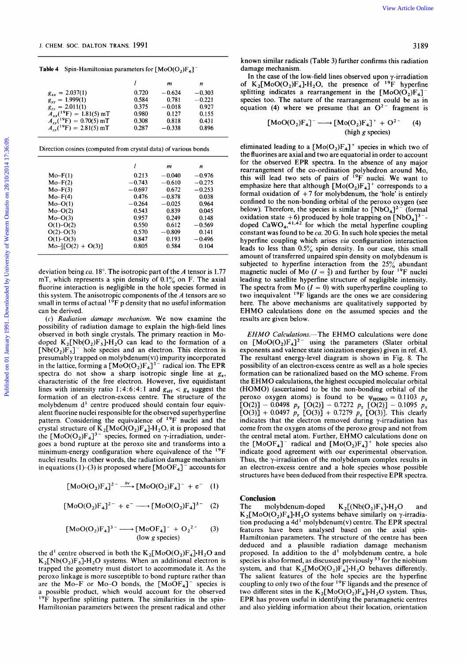**Table 4 Spin-Hamiltonian parameters for [MoO(O,)F,]** 

|                     |                                                                                                                                                                                                                         | In the case of the low-field lines observed upon $\gamma$ -firadiation                       |  |  |  |
|---------------------|-------------------------------------------------------------------------------------------------------------------------------------------------------------------------------------------------------------------------|----------------------------------------------------------------------------------------------|--|--|--|
|                     |                                                                                                                                                                                                                         | of $K_2[M_0O(O_2)F_4] \cdot H_2O$ , the presence of <sup>19</sup> F hyperfine                |  |  |  |
| $g_{xx} = 2.037(1)$ | $0.720 -0.624 -0.303$                                                                                                                                                                                                   | ig indicates a rearrangement in the $[M_0O(O_2)F_4]$                                         |  |  |  |
| $g_{yy} = 1.999(1)$ | $0.584$ $0.781$ $-0.221$                                                                                                                                                                                                | species too. The nature of the rearrangement could be as in                                  |  |  |  |
| $g_{zz} = 2.011(1)$ | $0.375 - 0.018$<br>0.927                                                                                                                                                                                                | quation (4) where we presume that an $O^{2}$ fragment is                                     |  |  |  |
|                     |                                                                                                                                                                                                                         |                                                                                              |  |  |  |
|                     | $A_{xx}(19F) = 1.81(5) mT$ $A_{yy}(19F) = 0.70(5) mT$ $A_{zz}(19F) = 2.81(5) mT$ $A_{zz}(19F) = 2.81(5) mT$ $A_{zz}(19F) = 2.81(5) mT$ $A_{zz}(19F) = 2.81(5) mT$ $A_{zz}(19F) = 2.81(5) mT$ $A_{zz}(19F) = 2.81(5) mT$ | $[MoO(O2)F4]$ <sup>-</sup> -----> $[Mo(O2)F4]$ <sup>+</sup> + O <sup>2-</sup> (4)            |  |  |  |
|                     |                                                                                                                                                                                                                         | $(high\ g\ species)$                                                                         |  |  |  |
|                     |                                                                                                                                                                                                                         |                                                                                              |  |  |  |
|                     |                                                                                                                                                                                                                         | المنادي والمستحدث والمنادي والمستنصر والمستحدث والمستحدث والمتحدث والمتحدث والمتحدث والمتحدث |  |  |  |

| Direction cosines (computed from crystal data) of various bonds |  |  |  |
|-----------------------------------------------------------------|--|--|--|
|-----------------------------------------------------------------|--|--|--|

|                             | l        | m        | n        |  |
|-----------------------------|----------|----------|----------|--|
| $Mo-F(1)$                   | 0.213    | $-0.040$ | $-0.976$ |  |
| $Mo-F(2)$                   | $-0.743$ | $-0.610$ | $-0.275$ |  |
| $Mo-F(3)$                   | $-0.697$ | 0.672    | $-0.253$ |  |
| $Mo-F(4)$                   | 0.476    | $-0.878$ | 0.038    |  |
| $Mo-O(1)$                   | $-0.264$ | $-0.025$ | 0.964    |  |
| $Mo-O(2)$                   | 0.543    | 0.839    | 0.045    |  |
| $Mo-O(3)$                   | 0.957    | 0.249    | 0.148    |  |
| $O(1)-O(2)$                 | 0.550    | 0.612    | $-0.569$ |  |
| $O(2) - O(3)$               | 0.570    | $-0.809$ | 0.141    |  |
| $O(1) - O(3)$               | 0.847    | 0.193    | $-0.496$ |  |
| $Mo-\frac{1}{2}[O(2)+O(3)]$ | 0.805    | 0.584    | 0.104    |  |
|                             |          |          |          |  |

deviation being *ca.* **18".** The isotropic part of the *A* tensor is **1.77**  mT, which represents a spin density of 0.1% on **F.** The axial fluorine interaction is negligible in the hole species formed in this system. The anisotropic components of the *A* tensors are so small in terms of actual <sup>19</sup>F *p* density that no useful information can be derived.

(c) *Radiation damage mechanism.* We now examine the possibility of radiation damage to explain the high-field lines observed in both single crystals. The primary reaction in Modoped  $K_2[Nb(O_2)F_5]H_2O$  can lead to the formation of a  $[Nb(O_2)F_5]$ <sup>-</sup> hole species and an electron. This electron is presumably trapped on molybdenum(v1) impurity incorporated in the lattice, forming a  $[MOO(O_2)F_4]^{3-}$  radical ion. The EPR spectra do not show a sharp isotropic single line at  $g_e$ , characteristic of the free electron. However, five equidistant lines with intensity ratio 1:4:6:4:1 and  $g_{\text{eff}} < g_{\text{e}}$  suggest the formation of an electron-excess centre. The structure of the molybdenum d' centre produced should contain four equivalent fluorine nuclei responsible for the observed superhyperfine pattern. Considering the equivalence of 19F nuclei and the crystal structure of  $K_2[MoO(O_2)F_4]·H_2O$ , it is proposed that the  $[MoO(O_2)F_4]^{3}$  species, formed on  $\gamma$ -irradiation, undergoes a bond rupture at the peroxo site and transforms into a minimum-energy configuration where equivalence of the  $^{19}F$ nuclei results. In other words, the radiation damage mechanism in equations  $(1)$ –(3) is proposed where  $[MoOF<sub>4</sub>]$ <sup>–</sup> accounts for

$$
[MoO(O2)F4]2- h W [MoO(O2)F4]- + e- (1)
$$

$$
[MoO(O2)F4]2- + e- \longrightarrow [MoO(O2)F4]3- (2)
$$

$$
[MoO(O2)F4]2- + e- \longrightarrow [MoO(O2)F4]3- (2)
$$
  

$$
[MoO(O2)F4]3- \longrightarrow [MoOF4]- + O22- (3)
$$
  
(low *g* species)

the d<sup>1</sup> centre observed in both the  $K_2[MoO(O_2)F_4] \cdot H_2O$  and  $K_2[Nb(O_2)F_5]H_2O$  systems. When an additional electron is trapped the geometry must distort to accommodate it. **As** the peroxo linkage is more susceptible to bond rupture rather than are the Mo-F or Mo-O bonds, the  $[MoOF_4]^-$  species is a possible product, which would account for the observed <sup>19</sup>F hyperfine splitting pattern. The similarities in the spin-Hamiltonian parameters between the present radical and other

known similar radicals (Table 3) further confirms this radiation damage mechanism.

*<sup>I</sup>***zyxwvutsrqponmlkjihgfedcbaZYXWVUTSRQPONMLKJIHGFEDCBA <sup>m</sup><sup>n</sup> Example 4** Spin-Hamiltonian parameters for  $[M_0O(O_2)F_4]^-$ <br> **Example 3** further confirms this radiation<br> **Example 1** and the case of the low-field lines observed upon  $\gamma$ -irradiation<br> **Example 1** and the case of the low In the case of the low-field lines observed upon  $\gamma$ -irradiation of  $K_2[M_0O(O_2)F_4]H_2O$ , the presence of <sup>19</sup>F hyperfine splitting indicates a rearrangement in the  $[M_0O(O_2)F_4]$ species too. The nature of the rearrangement could be as in equation (4) where we presume that an  $O<sup>2</sup>$  fragment is known similar radicals (Table 3) further confirms this radiation<br>damage mechanism.<br>In the case of the low-field lines observed upon  $\gamma$ -irradiation<br>of K<sub>2</sub>[MoO(O<sub>2</sub>)F<sub>4</sub>]-H<sub>2</sub>O, the presence of <sup>19</sup>F hyperfine<br>splitting

$$
[MoO(O2)F4]- \longrightarrow [Mo(O2)F4]+ + O2- (4)
$$
  
(high *g* species)

Mo-F(3)<br>  $M_0$ -F(3)<br>  $M_0$ -F(4)<br>  $M_0$ -F(4)<br>  $M_0$ -F(4)<br>  $M_0$ -C(1)<br>  $-0.264$ <br>  $-0.878$ <br>  $-0.878$ <br>  $-0.878$ <br>  $-0.878$ <br>  $-0.878$ <br>  $-0.878$ <br>  $-0.878$ <br>  $-0.878$ <br>  $-0.878$ <br>  $-0.878$ <br>  $-0.878$ <br>  $-0.878$ <br>  $-0.878$ <br>  $-0.878$ <br>  $$ eliminated leading to a  $[Mo(O_2)F_4]^+$  species in which two of the fluorines are axial and two are equatorial in order to account for the observed **EPR** spectra. In the absence of any major rearrangement of the co-ordination polyhedron around Mo, this will lead two sets of pairs of <sup>19</sup>F nuclei. We want to emphasize here that although  $[Mo(O_2)F_4]^+$  corresponds to a formal oxidation of **+7** for molybdenum, the 'hole' is entirely confined to the non-bonding orbital of the peroxo oxygen (see below). Therefore, the species is similar to  $[NbO<sub>4</sub>]<sup>2–</sup>$  (formal oxidation state  $+6$ ) produced by hole trapping on  $[NbO<sub>4</sub>]$ <sup>3-</sup> doped  $CaWO<sub>4</sub>,<sup>41,42</sup>$  for which the metal hyperfine coupling constant was found to be *ca.* **20** G. In such hole species the metal hyperfine coupling which arises *via* configuration interaction leads to less than 0.5% spin density. In our case, this small amount of transferred unpaired spin density on molybdenum is subjected to hyperfine interaction from the  $25\%$  abundant magnetic nuclei of Mo  $(I = \frac{5}{2})$  and further by four <sup>19</sup>F nuclei conined to the non-bonding orbital of the peroxo oxygen (see<br>below). Therefore, the species is similar to  $[NbO_4]^2$ <sup>-</sup> (formal<br>oxidation state +6) produced by hole trapping on  $[NbO_4]^3$ -<br>doped CaWO<sub>4</sub>,<sup>41,42</sup> for which th leading to satellite hyperfine structure of negligible intensity. The spectra from Mo  $(I = 0)$  with superhyperfine coupling to two inequivalent 19F ligands are the ones we are considering here. The above mechanisms are qualitatively supported by EHMO calculations done on the assumed species and the results are given below.

 $[MO_2]F_4]^3$ <sup>-5</sup> species, formed on  $\gamma$ -irradiation, under-<br>
and rupture at the peroxo site and transforms into a<br>
the  $[MoOF_4]^-$  radical and  $[Mo(O_2)F_4]^+$  hole species also<br>
energy configuration where equivalence of the EHMO Calculations.-The EHMO calculations were done on  $[M_0O(O_2)F_4]^{2}$  using the parameters (Slater orbital exponents and valence state ionization energies) given in ref. **43.**  The resultant energy-level diagram is shown in Fig. **8.** The possibility of an electron-excess centre as well as a hole species formation can be rationalized based on the MO scheme. From the EHMO calculations, the highest occupied molecular orbital (HOMO) (ascertained to be the non-bonding orbital of the peroxo oxygen atoms) is found to be  $\psi_{HOMO} = 0.1103$   $p_x$ <br>  $[O(2)] - 0.0498$   $p_y$   $[O(2)] - 0.7272$   $p_z$   $[O(2)] - 0.1095$   $p_x$  $[O(3)] + 0.0497 p_y [O(3)] + 0.7279 p_z [O(3)]$ . This clearly indicates that the electron removed during y-irradiation has come from the oxygen atoms of the peroxo group and not from the central metal atom. Further, EHMO calculations done on the  $[MoOF_4]^-$  radical and  $[Mo(O_2)F_4]^+$  hole species also indicate good agreement with our experimental observation. Thus, the y-irradiation of the molybdenum complex results in an electron-excess centre and a hole species whose possible structures have been deduced from their respective EPR spectra.

# **Conclusion**

The molybdenum-doped  $K_2[(Nb(O_2)F_3] \cdot H_2O]$  and  $K_2[M_0O(O_2)F_4]H_2O$  systems behave similarly on  $\gamma$ -irradiation producing a **4d'** molybdenum(v) centre. The **EPR** spectral features have been analysed based on the axial spin-Hamiltonian parameters. The structure of the centre has been deduced and a plausible radiation damage mechanism proposed. In addition to the d' molybdenum centre, a hole species is also formed, as discussed previously **33** for the niobium system, and that  $K_2[MoO(O_2)F_4]·H_2O$  behaves differently. The salient features of the hole species are the hyperfine coupling to only two of the four  $^{19}$ F ligands and the presence of two different sites in the  $K_2[M_0O(O_2)F_4] \cdot H_2O$  system. Thus, **EPR** has proven useful in identifying the paramagnetic centres and also yielding information about their location, orientation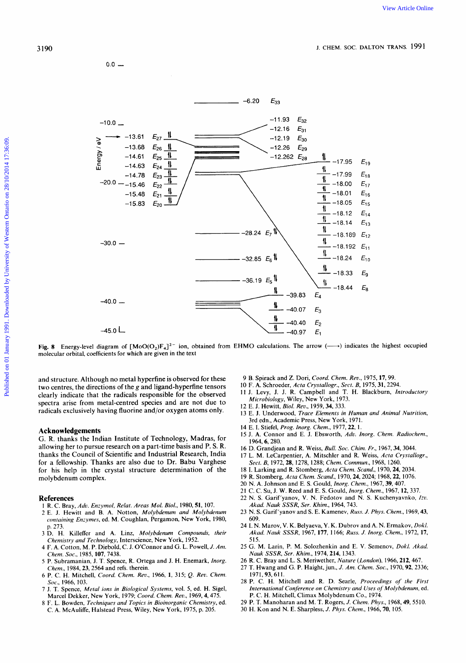

Fig. 8 Energy-level diagram of  $[MoOO_2)F_4]^{2-}$  ion, obtained from EHMO calculations. The arrow  $(\longrightarrow)$  indicates the highest occupied molecular orbital, coefficients for which are given in the text

and structure. Although no metal hyperfine is observed for these two centres, the directions of the  $g$  and ligand-hyperfine tensors clearly indicate that the radicals responsible for the observed spectra arise from metal-centred species and are not due to radicals exclusively having fluorine and/or oxygen atoms only.

# **Acknowledgements**

**G. R.** thanks the Indian Institute of Technology, Madras, for allowing her to pursue research on a part-time basis and P. S. R. thanks the Council of Scientific and Industrial Research, India for a fellowship. Thanks are also due to Dr. Babu Varghese for his help in the crystal structure determination of the molybdenum complex. 1 R. C. Bray, *Adv. Enzymol, Relat. Areas Mol. Biol.*, 1980, 51, 107.<br>
2013 N. S. Garif'yanov, N. N. Fedotov and N. S. Kuchen, 1968, 22, 1076.<br>
20 N. A. Johnson and E. S. Gould, *Inorg. Chem.*, 1967, 39, 407.<br>
22 N. A. Joh

- **References**<br>
1 R. C. Bray, Adv. Enzymol, Relat. Areas Mol. Biol., 1980, **51**, 107.
- 2 E. J. Hewitt and B. A, Notton, *Molybdenum and Molybdenum containing Enzymes,* ed. M. Coughlan, Pergamon, New York, 1980, p. 273.
- 3 D. H. Killeffer and **A.** Linz, *Molybdenum Compounds, their Chemistry and Technology,* Interscience, New York, 1952.
- **4** F. **A.** Cotton, M. P. Diebold, C. J. OConnor and G. L. Powell, *J. Am. Chem. SOC.,* 1985,107,7438.
- 5 P. Subramanian, J. T. Spence, R. Ortega and J. H. Enemark, *Inorg. Chem.,* 1984,23,2564 and refs. therein.
- 6 P. C. H. Mitchell, *Coord. Chem. Rev.,* 1966, **1,** 315; Q. *Rev. Chem. Soc.,* 1966, 103.
- 7 J. T. Spence, *Metal ions in Biological Systems,* vol. *5,* ed. H. Sigel, Marcel Dekker, New York, 1979; *Coord, Chem. Rev.,* 1969,4475.
- 8 F. L. Bowden, *Techniques and Topics in Bioinorganic Chemistry,* ed. C. A. McAuliffe, Halstead Press, Wiley, New York, 1975, p. 205.
- 9 B. Spirack and Z. Dori, *Coord. Chem. Rev.,* 1975,17,99.
- *10* F. **A.** Schroeder, *Acta Crystallogr., Sect. B,* 1975,31,2294.
- 11 J. Levy, J. J. R. Campbell and T. H. Blackburn, *fntroductory Microbiology,* Wiley, New York, 1973.
- 12 E. J. Hewitt, *Biol. Reo.,* 1959, *34,* 333.
- 13 E. J. Underwood, *Trace Elements in Human and Animal Nutrition,*  3rd edn., Academic Press, New York, 1971.
- 14 E. I. Stiefel, *Prog. Inorg. Chem.,* 1977, 22, 1.
- 15 J. **A.** Connor and E. J. Ebsworth, *Adv. Inorg. Chem. Radiochem.,*  1964,6,280.
- 16 D. Grandjean and R. Weiss, *Bull. SOC. Chim. Fr.,* 1967,34,3044.
- 17 L. M. LeCarpentier, A. Mitschler and R. Weiss, *Acta Crystallogr., Sect. B,* 1972,28,1278,1288; *Chem. Commun.,* 1968,1260.
- 18 I. Larking and R. Stomberg, *Acta Chem. Scand.,* 1970,24,2034.
- 19 R. Stomberg, *Acta Chem. Scand.,* 1970,24,2024; 1968,22,1076.
- 
- 20 N. **A.** Johnson and E. **S.** Gould, *Inorg. Chem.,* 1967,39,407.
- 21 C. *C.* Su, J. W. Reed and E. S. Gould, *Inorg. Chem.,* 1967,12,337.
- 22 N. S. Garif'yanov, V. N. Fedotov and N. S. Kuchenyavnko, *Izu. Akad. Nauk SSSR, Ser. Khim.,* 1964,743.
- 23 N. S. Garif'yanov and S. E. Kamenev, Russ. *J. Phys. Chem.,* 1969,43, 609.
- 24 I. N. Marov, V. K. Belyaeva, Y. K. Dubrov and A. N. Ermakov, *Dokl. Akad. Nauk SSSR,* 1967, 177, 1166; *Russ.* J. *Inorg. Chem.,* 1972,17, 515.
- 25 G. M. Larin, P. M. Solozhenkin and E. V. Semenov, *Dokl. Akad. Nauk SSSR, Ser. Khim.,* 1974,214,1343.
- 26 R. C. Bray and L. S. Meriwether, *Nature (London),* 1966,212,467.
- 27 T. Hwang and G. P. Haight, jun., *J. Am. Chem. Soc.*, 1970, 92, 2336; 1971,93,611.
- 28 P. C. H. Mitchell and R. D. Searle, *Proceedings* of *the First International Conference on Chemistry and Uses* of *Molybdenum,* ed. P. *C.* H. Mitchell, Climax Molybdenum Co., 1974.
- 29 P. T. Manoharan and M. T. Rogers, *J. Chem. Phys.,* 1968,49,5510.
- 30 H. Kon and N. E. Sharpless, J. *Phys. Chem.,* 1966,70, *105.*